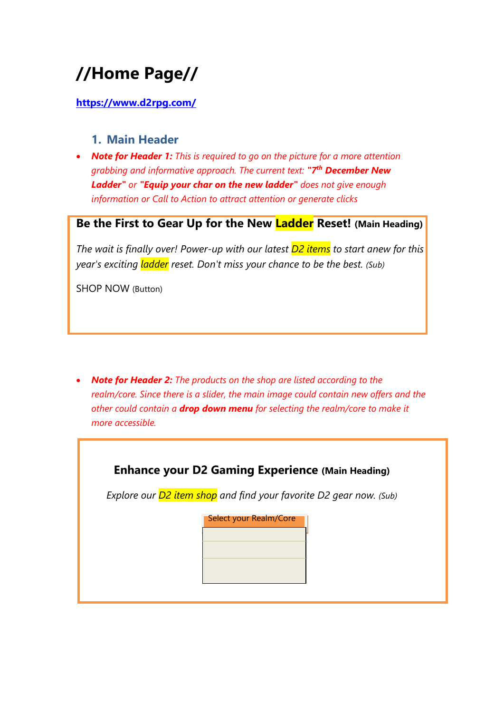# **//Home Page//**

## **<https://www.d2rpg.com/>**

## **1. Main Header**

• *Note for Header 1: This is required to go on the picture for a more attention grabbing and informative approach. The current text: "7th December New Ladder" or "Equip your char on the new ladder" does not give enough information or Call to Action to attract attention or generate clicks*

# **Be the First to Gear Up for the New Ladder Reset! (Main Heading)**

*The wait is finally over! Power-up with our latest D2 items to start anew for this year's exciting ladder reset. Don't miss your chance to be the best. (Sub)*

SHOP NOW (Button)

• *Note for Header 2: The products on the shop are listed according to the realm/core. Since there is a slider, the main image could contain new offers and the other could contain a drop down menu for selecting the realm/core to make it more accessible.* 

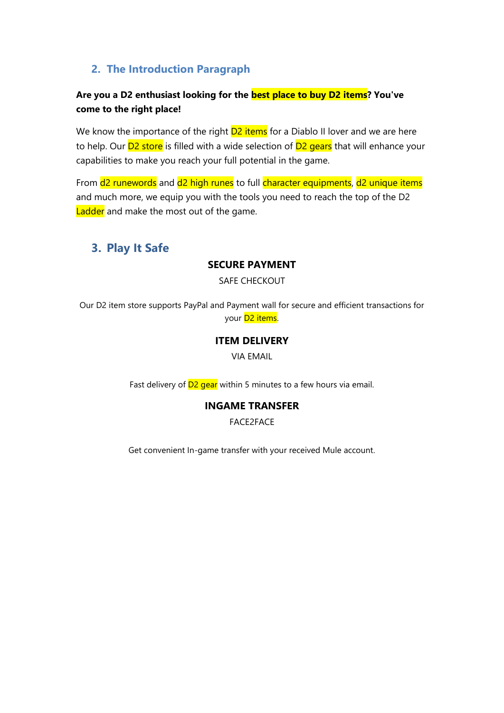## **2. The Introduction Paragraph**

## **Are you a D2 enthusiast looking for the best place to buy D2 items? You've come to the right place!**

We know the importance of the right  $D2$  items for a Diablo II lover and we are here to help. Our **D2 store** is filled with a wide selection of **D2 gears** that will enhance your capabilities to make you reach your full potential in the game.

From  $d^2$  runewords and  $d^2$  high runes to full character equipments, d2 unique items and much more, we equip you with the tools you need to reach the top of the D2 Ladder and make the most out of the game.

# **3. Play It Safe**

### **SECURE PAYMENT**

SAFE CHECKOUT

Our D2 item store supports PayPal and Payment wall for secure and efficient transactions for your **D<sub>2</sub>** items.

### **ITEM DELIVERY**

VIA EMAIL

Fast delivery of  $D2$  gear within 5 minutes to a few hours via email.

## **INGAME TRANSFER**

FACE2FACE

Get convenient In-game transfer with your received Mule account.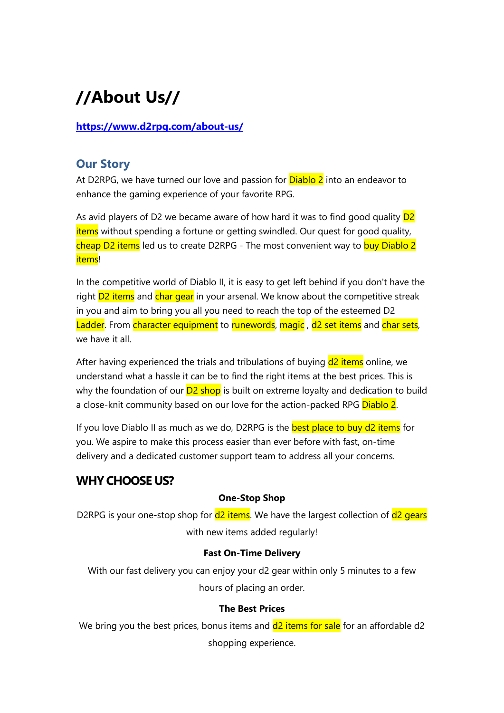# **//About Us//**

## **<https://www.d2rpg.com/about-us/>**

## **Our Story**

At D2RPG, we have turned our love and passion for **Diablo 2** into an endeavor to enhance the gaming experience of your favorite RPG.

As avid players of D2 we became aware of how hard it was to find good quality  $D2$ items without spending a fortune or getting swindled. Our quest for good quality, cheap D2 items led us to create D2RPG - The most convenient way to buy Diablo 2 items!

In the competitive world of Diablo II, it is easy to get left behind if you don't have the right **D2** items and char gear in your arsenal. We know about the competitive streak in you and aim to bring you all you need to reach the top of the esteemed D2 Ladder. From character equipment to runewords, magic, d2 set items and char sets, we have it all.

After having experienced the trials and tribulations of buying  $d^2$  items online, we understand what a hassle it can be to find the right items at the best prices. This is why the foundation of our  $D2$  shop is built on extreme loyalty and dedication to build a close-knit community based on our love for the action-packed RPG Diablo 2.

If you love Diablo II as much as we do, D2RPG is the **best place to buy d2 items** for you. We aspire to make this process easier than ever before with fast, on-time delivery and a dedicated customer support team to address all your concerns.

# **WHY CHOOSE US?**

#### **One-Stop Shop**

D2RPG is your one-stop shop for  $d^2$  items. We have the largest collection of  $d^2$  gears with new items added regularly!

#### **Fast On-Time Delivery**

With our fast delivery you can enjoy your d2 gear within only 5 minutes to a few hours of placing an order.

### **The Best Prices**

We bring you the best prices, bonus items and  $d^2$  items for sale for an affordable  $d^2$ shopping experience.